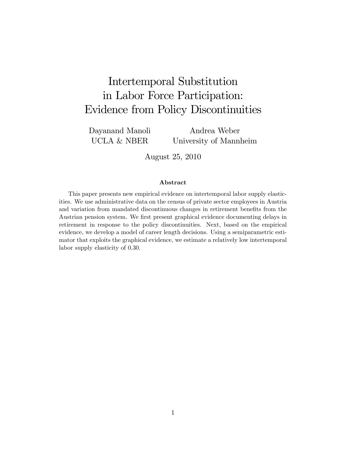# Intertemporal Substitution in Labor Force Participation: Evidence from Policy Discontinuities

Dayanand Manoli UCLA & NBER Andrea Weber University of Mannheim

August 25, 2010

#### Abstract

This paper presents new empirical evidence on intertemporal labor supply elasticities. We use administrative data on the census of private sector employees in Austria and variation from mandated discontinuous changes in retirement benefits from the Austrian pension system. We first present graphical evidence documenting delays in retirement in response to the policy discontinuities. Next, based on the empirical evidence, we develop a model of career length decisions. Using a semiparametric estimator that exploits the graphical evidence, we estimate a relatively low intertemporal labor supply elasticity of 0.30.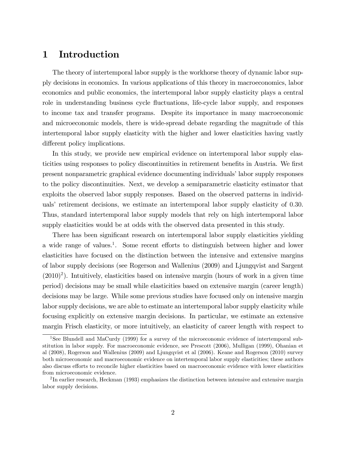# 1 Introduction

The theory of intertemporal labor supply is the workhorse theory of dynamic labor supply decisions in economics. In various applications of this theory in macroeconomics, labor economics and public economics, the intertemporal labor supply elasticity plays a central role in understanding business cycle fluctuations, life-cycle labor supply, and responses to income tax and transfer programs. Despite its importance in many macroeconomic and microeconomic models, there is wide-spread debate regarding the magnitude of this intertemporal labor supply elasticity with the higher and lower elasticities having vastly different policy implications.

In this study, we provide new empirical evidence on intertemporal labor supply elasticities using responses to policy discontinuities in retirement benefits in Austria. We first present nonparametric graphical evidence documenting individuals' labor supply responses to the policy discontinuities. Next, we develop a semiparametric elasticity estimator that exploits the observed labor supply responses. Based on the observed patterns in individuals' retirement decisions, we estimate an intertemporal labor supply elasticity of 0.30. Thus, standard intertemporal labor supply models that rely on high intertemporal labor supply elasticities would be at odds with the observed data presented in this study.

There has been significant research on intertemporal labor supply elasticities yielding a wide range of values.<sup>1</sup>. Some recent efforts to distinguish between higher and lower elasticities have focused on the distinction between the intensive and extensive margins of labor supply decisions (see Rogerson and Wallenius (2009) and Ljungqvist and Sargent  $(2010)^2$ ). Intuitively, elasticities based on intensive margin (hours of work in a given time period) decisions may be small while elasticities based on extensive margin (career length) decisions may be large. While some previous studies have focused only on intensive margin labor supply decisions, we are able to estimate an intertemporal labor supply elasticity while focusing explicitly on extensive margin decisions. In particular, we estimate an extensive margin Frisch elasticity, or more intuitively, an elasticity of career length with respect to

<sup>&</sup>lt;sup>1</sup>See Blundell and MaCurdy (1999) for a survey of the microeconomic evidence of intertemporal substitution in labor supply. For macroeconomic evidence, see Prescott (2006), Mulligan (1999), Ohanian et al (2008), Rogerson and Wallenius (2009) and Ljungqvist et al (2006). Keane and Rogerson (2010) survey both microeconomic and macroeconomic evidence on intertemporal labor supply elasticities; these authors also discuss efforts to reconcile higher elasticities based on macroeconomic evidence with lower elasticities from microeconomic evidence.

 $^{2}$ In earlier research, Heckman (1993) emphasizes the distinction between intensive and extensive margin labor supply decisions.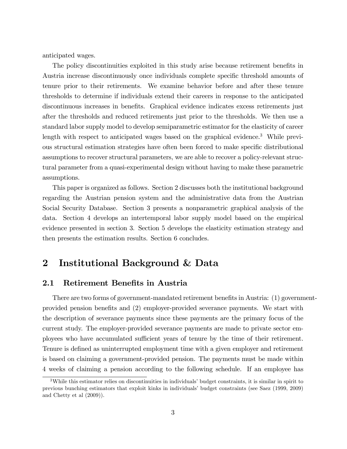anticipated wages.

The policy discontinuities exploited in this study arise because retirement benefits in Austria increase discontinuously once individuals complete specific threshold amounts of tenure prior to their retirements. We examine behavior before and after these tenure thresholds to determine if individuals extend their careers in response to the anticipated discontinuous increases in benefits. Graphical evidence indicates excess retirements just after the thresholds and reduced retirements just prior to the thresholds. We then use a standard labor supply model to develop semiparametric estimator for the elasticity of career length with respect to anticipated wages based on the graphical evidence.<sup>3</sup> While previous structural estimation strategies have often been forced to make specific distributional assumptions to recover structural parameters, we are able to recover a policy-relevant structural parameter from a quasi-experimental design without having to make these parametric assumptions.

This paper is organized as follows. Section 2 discusses both the institutional background regarding the Austrian pension system and the administrative data from the Austrian Social Security Database. Section 3 presents a nonparametric graphical analysis of the data. Section 4 develops an intertemporal labor supply model based on the empirical evidence presented in section 3. Section 5 develops the elasticity estimation strategy and then presents the estimation results. Section 6 concludes.

# 2 Institutional Background & Data

### 2.1 Retirement Benefits in Austria

There are two forms of government-mandated retirement benefits in Austria: (1) governmentprovided pension benefits and  $(2)$  employer-provided severance payments. We start with the description of severance payments since these payments are the primary focus of the current study. The employer-provided severance payments are made to private sector employees who have accumulated sufficient years of tenure by the time of their retirement. Tenure is defined as uninterrupted employment time with a given employer and retirement is based on claiming a government-provided pension. The payments must be made within 4 weeks of claiming a pension according to the following schedule. If an employee has

<sup>&</sup>lt;sup>3</sup>While this estimator relies on discontinuities in individuals' budget constraints, it is similar in spirit to previous bunching estimators that exploit kinks in individualsíbudget constraints (see Saez (1999, 2009) and Chetty et al (2009)).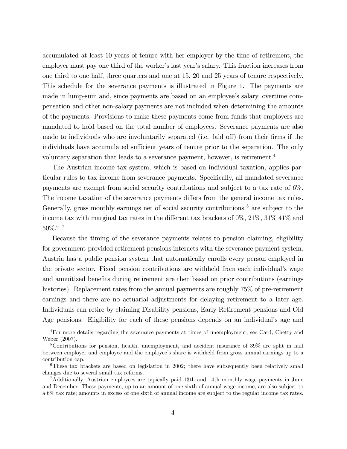accumulated at least 10 years of tenure with her employer by the time of retirement, the employer must pay one third of the worker's last year's salary. This fraction increases from one third to one half, three quarters and one at 15, 20 and 25 years of tenure respectively. This schedule for the severance payments is illustrated in Figure 1. The payments are made in lump-sum and, since payments are based on an employee's salary, overtime compensation and other non-salary payments are not included when determining the amounts of the payments. Provisions to make these payments come from funds that employers are mandated to hold based on the total number of employees. Severance payments are also made to individuals who are involuntarily separated (i.e. laid off) from their firms if the individuals have accumulated sufficient years of tenure prior to the separation. The only voluntary separation that leads to a severance payment, however, is retirement.<sup>4</sup>

The Austrian income tax system, which is based on individual taxation, applies particular rules to tax income from severance payments. Specifically, all mandated severance payments are exempt from social security contributions and subject to a tax rate of 6%. The income taxation of the severance payments differs from the general income tax rules. Generally, gross monthly earnings net of social security contributions<sup>5</sup> are subject to the income tax with marginal tax rates in the different tax brackets of  $0\%, 21\%, 31\%$  41% and 50%.6 7

Because the timing of the severance payments relates to pension claiming, eligibility for government-provided retirement pensions interacts with the severance payment system. Austria has a public pension system that automatically enrolls every person employed in the private sector. Fixed pension contributions are withheld from each individualís wage and annuitized benefits during retirement are then based on prior contributions (earnings histories). Replacement rates from the annual payments are roughly 75% of pre-retirement earnings and there are no actuarial adjustments for delaying retirement to a later age. Individuals can retire by claiming Disability pensions, Early Retirement pensions and Old Age pensions. Eligibility for each of these pensions depends on an individual's age and

<sup>4</sup>For more details regarding the severance payments at times of unemployment, see Card, Chetty and Weber (2007).

<sup>5</sup>Contributions for pension, health, unemployment, and accident insurance of 39% are split in half between employer and employee and the employee's share is withheld from gross annual earnings up to a contribution cap.

<sup>&</sup>lt;sup>6</sup>These tax brackets are based on legislation in 2002; there have subsequently been relatively small changes due to several small tax reforms.

<sup>7</sup>Additionally, Austrian employees are typically paid 13th and 14th monthly wage payments in June and December. These payments, up to an amount of one sixth of annual wage income, are also subject to a 6% tax rate; amounts in excess of one sixth of annual income are subject to the regular income tax rates.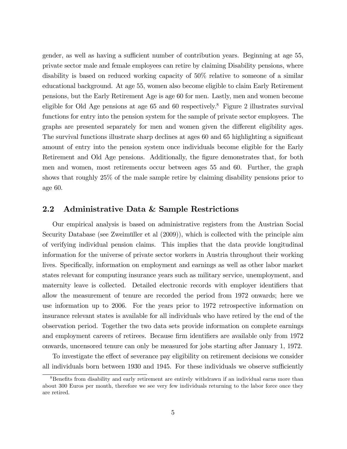gender, as well as having a sufficient number of contribution years. Beginning at age 55, private sector male and female employees can retire by claiming Disability pensions, where disability is based on reduced working capacity of 50% relative to someone of a similar educational background. At age 55, women also become eligible to claim Early Retirement pensions, but the Early Retirement Age is age 60 for men. Lastly, men and women become eligible for Old Age pensions at age 65 and 60 respectively.<sup>8</sup> Figure 2 illustrates survival functions for entry into the pension system for the sample of private sector employees. The graphs are presented separately for men and women given the different eligibility ages. The survival functions illustrate sharp declines at ages 60 and 65 highlighting a significant amount of entry into the pension system once individuals become eligible for the Early Retirement and Old Age pensions. Additionally, the figure demonstrates that, for both men and women, most retirements occur between ages 55 and 60. Further, the graph shows that roughly 25% of the male sample retire by claiming disability pensions prior to age 60.

## 2.2 Administrative Data & Sample Restrictions

Our empirical analysis is based on administrative registers from the Austrian Social Security Database (see Zweimüller et al  $(2009)$ ), which is collected with the principle aim of verifying individual pension claims. This implies that the data provide longitudinal information for the universe of private sector workers in Austria throughout their working lives. Specifically, information on employment and earnings as well as other labor market states relevant for computing insurance years such as military service, unemployment, and maternity leave is collected. Detailed electronic records with employer identifiers that allow the measurement of tenure are recorded the period from 1972 onwards; here we use information up to 2006. For the years prior to 1972 retrospective information on insurance relevant states is available for all individuals who have retired by the end of the observation period. Together the two data sets provide information on complete earnings and employment careers of retirees. Because firm identifiers are available only from 1972 onwards, uncensored tenure can only be measured for jobs starting after January 1, 1972.

To investigate the effect of severance pay eligibility on retirement decisions we consider all individuals born between 1930 and 1945. For these individuals we observe sufficiently

<sup>&</sup>lt;sup>8</sup>Benefits from disability and early retirement are entirely withdrawn if an individual earns more than about 300 Euros per month, therefore we see very few individuals returning to the labor force once they are retired.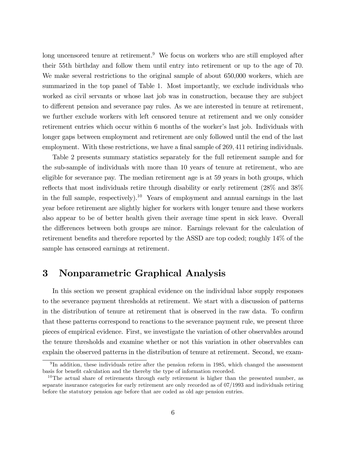long uncensored tenure at retirement.<sup>9</sup> We focus on workers who are still employed after their 55th birthday and follow them until entry into retirement or up to the age of 70. We make several restrictions to the original sample of about 650,000 workers, which are summarized in the top panel of Table 1. Most importantly, we exclude individuals who worked as civil servants or whose last job was in construction, because they are subject to different pension and severance pay rules. As we are interested in tenure at retirement, we further exclude workers with left censored tenure at retirement and we only consider retirement entries which occur within 6 months of the worker's last job. Individuals with longer gaps between employment and retirement are only followed until the end of the last employment. With these restrictions, we have a final sample of 269, 411 retiring individuals.

Table 2 presents summary statistics separately for the full retirement sample and for the sub-sample of individuals with more than 10 years of tenure at retirement, who are eligible for severance pay. The median retirement age is at 59 years in both groups, which reflects that most individuals retire through disability or early retirement  $(28\%$  and  $38\%$ in the full sample, respectively).<sup>10</sup> Years of employment and annual earnings in the last year before retirement are slightly higher for workers with longer tenure and these workers also appear to be of better health given their average time spent in sick leave. Overall the differences between both groups are minor. Earnings relevant for the calculation of retirement benefits and therefore reported by the ASSD are top coded; roughly 14% of the sample has censored earnings at retirement.

# 3 Nonparametric Graphical Analysis

In this section we present graphical evidence on the individual labor supply responses to the severance payment thresholds at retirement. We start with a discussion of patterns in the distribution of tenure at retirement that is observed in the raw data. To confirm that these patterns correspond to reactions to the severance payment rule, we present three pieces of empirical evidence. First, we investigate the variation of other observables around the tenure thresholds and examine whether or not this variation in other observables can explain the observed patterns in the distribution of tenure at retirement. Second, we exam-

<sup>&</sup>lt;sup>9</sup>In addition, these individuals retire after the pension reform in 1985, which changed the assessment basis for benefit calculation and the thereby the type of information recorded.

 $10$ The actual share of retirements through early retirement is higher than the presented number, as separate insurance categories for early retirement are only recorded as of 07/1993 and individuals retiring before the statutory pension age before that are coded as old age pension entries.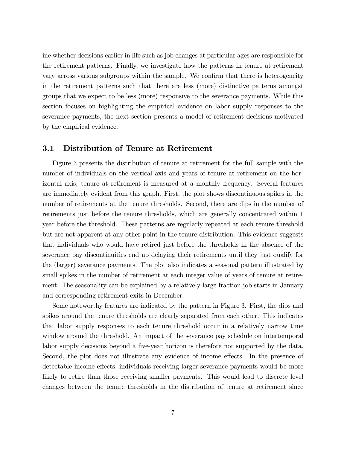ine whether decisions earlier in life such as job changes at particular ages are responsible for the retirement patterns. Finally, we investigate how the patterns in tenure at retirement vary across various subgroups within the sample. We confirm that there is heterogeneity in the retirement patterns such that there are less (more) distinctive patterns amongst groups that we expect to be less (more) responsive to the severance payments. While this section focuses on highlighting the empirical evidence on labor supply responses to the severance payments, the next section presents a model of retirement decisions motivated by the empirical evidence.

### 3.1 Distribution of Tenure at Retirement

Figure 3 presents the distribution of tenure at retirement for the full sample with the number of individuals on the vertical axis and years of tenure at retirement on the horizontal axis; tenure at retirement is measured at a monthly frequency. Several features are immediately evident from this graph. First, the plot shows discontinuous spikes in the number of retirements at the tenure thresholds. Second, there are dips in the number of retirements just before the tenure thresholds, which are generally concentrated within 1 year before the threshold. These patterns are regularly repeated at each tenure threshold but are not apparent at any other point in the tenure distribution. This evidence suggests that individuals who would have retired just before the thresholds in the absence of the severance pay discontinuities end up delaying their retirements until they just qualify for the (larger) severance payments. The plot also indicates a seasonal pattern illustrated by small spikes in the number of retirement at each integer value of years of tenure at retirement. The seasonality can be explained by a relatively large fraction job starts in January and corresponding retirement exits in December.

Some noteworthy features are indicated by the pattern in Figure 3. First, the dips and spikes around the tenure thresholds are clearly separated from each other. This indicates that labor supply responses to each tenure threshold occur in a relatively narrow time window around the threshold. An impact of the severance pay schedule on intertemporal labor supply decisions beyond a five-year horizon is therefore not supported by the data. Second, the plot does not illustrate any evidence of income effects. In the presence of detectable income effects, individuals receiving larger severance payments would be more likely to retire than those receiving smaller payments. This would lead to discrete level changes between the tenure thresholds in the distribution of tenure at retirement since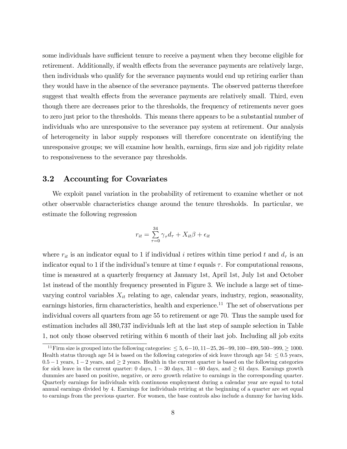some individuals have sufficient tenure to receive a payment when they become eligible for retirement. Additionally, if wealth effects from the severance payments are relatively large, then individuals who qualify for the severance payments would end up retiring earlier than they would have in the absence of the severance payments. The observed patterns therefore suggest that wealth effects from the severance payments are relatively small. Third, even though there are decreases prior to the thresholds, the frequency of retirements never goes to zero just prior to the thresholds. This means there appears to be a substantial number of individuals who are unresponsive to the severance pay system at retirement. Our analysis of heterogeneity in labor supply responses will therefore concentrate on identifying the unresponsive groups; we will examine how health, earnings, firm size and job rigidity relate to responsiveness to the severance pay thresholds.

## 3.2 Accounting for Covariates

We exploit panel variation in the probability of retirement to examine whether or not other observable characteristics change around the tenure thresholds. In particular, we estimate the following regression

$$
r_{it} = \sum_{\tau=0}^{34} \gamma_{\tau} d_{\tau} + X_{it} \beta + \epsilon_{it}
$$

where  $r_{it}$  is an indicator equal to 1 if individual i retires within time period t and  $d_{\tau}$  is an indicator equal to 1 if the individual's tenure at time t equals  $\tau$ . For computational reasons, time is measured at a quarterly frequency at January 1st, April 1st, July 1st and October 1st instead of the monthly frequency presented in Figure 3. We include a large set of timevarying control variables  $X_{it}$  relating to age, calendar years, industry, region, seasonality, earnings histories, firm characteristics, health and experience.<sup>11</sup> The set of observations per individual covers all quarters from age 55 to retirement or age 70. Thus the sample used for estimation includes all 380,737 individuals left at the last step of sample selection in Table 1, not only those observed retiring within 6 month of their last job. Including all job exits

<sup>&</sup>lt;sup>11</sup> Firm size is grouped into the following categories:  $\leq 5, 6-10, 11-25, 26-99, 100-499, 500-999, \geq 1000$ . Health status through age 54 is based on the following categories of sick leave through age 54:  $\leq 0.5$  years,  $0.5 - 1$  years,  $1 - 2$  years, and  $\geq 2$  years. Health in the current quarter is based on the following categories for sick leave in the current quarter: 0 days,  $1 - 30$  days,  $31 - 60$  days, and  $\geq 61$  days. Earnings growth dummies are based on positive, negative, or zero growth relative to earnings in the corresponding quarter. Quarterly earnings for individuals with continuous employment during a calendar year are equal to total annual earnings divided by 4. Earnings for individuals retiring at the beginning of a quarter are set equal to earnings from the previous quarter. For women, the base controls also include a dummy for having kids.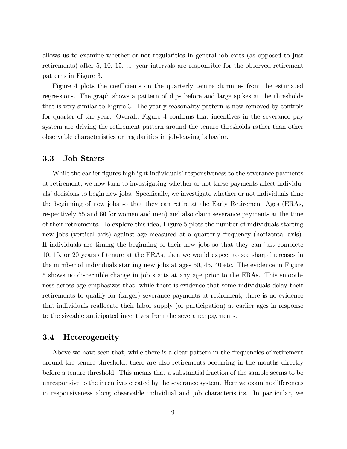allows us to examine whether or not regularities in general job exits (as opposed to just retirements) after 5, 10, 15, ... year intervals are responsible for the observed retirement patterns in Figure 3.

Figure 4 plots the coefficients on the quarterly tenure dummies from the estimated regressions. The graph shows a pattern of dips before and large spikes at the thresholds that is very similar to Figure 3. The yearly seasonality pattern is now removed by controls for quarter of the year. Overall, Figure 4 confirms that incentives in the severance pay system are driving the retirement pattern around the tenure thresholds rather than other observable characteristics or regularities in job-leaving behavior.

## 3.3 Job Starts

While the earlier figures highlight individuals' responsiveness to the severance payments at retirement, we now turn to investigating whether or not these payments affect individuals' decisions to begin new jobs. Specifically, we investigate whether or not individuals time the beginning of new jobs so that they can retire at the Early Retirement Ages (ERAs, respectively 55 and 60 for women and men) and also claim severance payments at the time of their retirements. To explore this idea, Figure 5 plots the number of individuals starting new jobs (vertical axis) against age measured at a quarterly frequency (horizontal axis). If individuals are timing the beginning of their new jobs so that they can just complete 10, 15, or 20 years of tenure at the ERAs, then we would expect to see sharp increases in the number of individuals starting new jobs at ages 50, 45, 40 etc. The evidence in Figure 5 shows no discernible change in job starts at any age prior to the ERAs. This smoothness across age emphasizes that, while there is evidence that some individuals delay their retirements to qualify for (larger) severance payments at retirement, there is no evidence that individuals reallocate their labor supply (or participation) at earlier ages in response to the sizeable anticipated incentives from the severance payments.

### 3.4 Heterogeneity

Above we have seen that, while there is a clear pattern in the frequencies of retirement around the tenure threshold, there are also retirements occurring in the months directly before a tenure threshold. This means that a substantial fraction of the sample seems to be unresponsive to the incentives created by the severance system. Here we examine differences in responsiveness along observable individual and job characteristics. In particular, we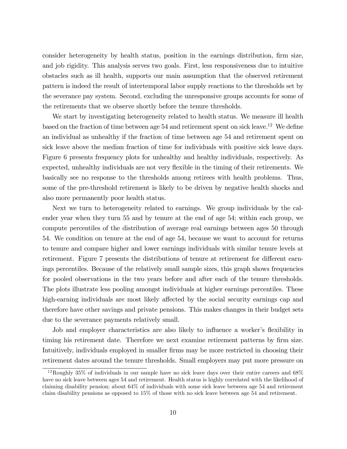consider heterogeneity by health status, position in the earnings distribution, firm size, and job rigidity. This analysis serves two goals. First, less responsiveness due to intuitive obstacles such as ill health, supports our main assumption that the observed retirement pattern is indeed the result of intertemporal labor supply reactions to the thresholds set by the severance pay system. Second, excluding the unresponsive groups accounts for some of the retirements that we observe shortly before the tenure thresholds.

We start by investigating heterogeneity related to health status. We measure ill health based on the fraction of time between age  $54$  and retirement spent on sick leave.<sup>12</sup> We define an individual as unhealthy if the fraction of time between age 54 and retirement spent on sick leave above the median fraction of time for individuals with positive sick leave days. Figure 6 presents frequency plots for unhealthy and healthy individuals, respectively. As expected, unhealthy individuals are not very flexible in the timing of their retirements. We basically see no response to the thresholds among retirees with health problems. Thus, some of the pre-threshold retirement is likely to be driven by negative health shocks and also more permanently poor health status.

Next we turn to heterogeneity related to earnings. We group individuals by the calender year when they turn 55 and by tenure at the end of age 54; within each group, we compute percentiles of the distribution of average real earnings between ages 50 through 54. We condition on tenure at the end of age 54, because we want to account for returns to tenure and compare higher and lower earnings individuals with similar tenure levels at retirement. Figure 7 presents the distributions of tenure at retirement for different earnings percentiles. Because of the relatively small sample sizes, this graph shows frequencies for pooled observations in the two years before and after each of the tenure thresholds. The plots illustrate less pooling amongst individuals at higher earnings percentiles. These high-earning individuals are most likely affected by the social security earnings cap and therefore have other savings and private pensions. This makes changes in their budget sets due to the severance payments relatively small.

Job and employer characteristics are also likely to influence a worker's flexibility in timing his retirement date. Therefore we next examine retirement patterns by firm size. Intuitively, individuals employed in smaller firms may be more restricted in choosing their retirement dates around the tenure thresholds. Small employers may put more pressure on

<sup>&</sup>lt;sup>12</sup>Roughly 35% of individuals in our sample have no sick leave days over their entire careers and  $68\%$ have no sick leave between ages 54 and retirement. Health status is highly correlated with the likelihood of claiming disability pension; about 64% of individuals with some sick leave between age 54 and retirement claim disability pensions as opposed to 15% of those with no sick leave between age 54 and retirement.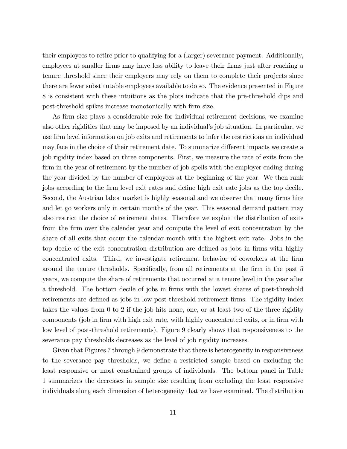their employees to retire prior to qualifying for a (larger) severance payment. Additionally, employees at smaller firms may have less ability to leave their firms just after reaching a tenure threshold since their employers may rely on them to complete their projects since there are fewer substitutable employees available to do so. The evidence presented in Figure 8 is consistent with these intuitions as the plots indicate that the pre-threshold dips and post-threshold spikes increase monotonically with Örm size.

As firm size plays a considerable role for individual retirement decisions, we examine also other rigidities that may be imposed by an individual's job situation. In particular, we use firm level information on job exits and retirements to infer the restrictions an individual may face in the choice of their retirement date. To summarize different impacts we create a job rigidity index based on three components. First, we measure the rate of exits from the firm in the year of retirement by the number of job spells with the employer ending during the year divided by the number of employees at the beginning of the year. We then rank jobs according to the firm level exit rates and define high exit rate jobs as the top decile. Second, the Austrian labor market is highly seasonal and we observe that many firms hire and let go workers only in certain months of the year. This seasonal demand pattern may also restrict the choice of retirement dates. Therefore we exploit the distribution of exits from the firm over the calender year and compute the level of exit concentration by the share of all exits that occur the calendar month with the highest exit rate. Jobs in the top decile of the exit concentration distribution are defined as jobs in firms with highly concentrated exits. Third, we investigate retirement behavior of coworkers at the Örm around the tenure thresholds. Specifically, from all retirements at the firm in the past 5 years, we compute the share of retirements that occurred at a tenure level in the year after a threshold. The bottom decile of jobs in firms with the lowest shares of post-threshold retirements are defined as jobs in low post-threshold retirement firms. The rigidity index takes the values from 0 to 2 if the job hits none, one, or at least two of the three rigidity components (job in firm with high exit rate, with highly concentrated exits, or in firm with low level of post-threshold retirements). Figure 9 clearly shows that responsiveness to the severance pay thresholds decreases as the level of job rigidity increases.

Given that Figures 7 through 9 demonstrate that there is heterogeneity in responsiveness to the severance pay thresholds, we define a restricted sample based on excluding the least responsive or most constrained groups of individuals. The bottom panel in Table 1 summarizes the decreases in sample size resulting from excluding the least responsive individuals along each dimension of heterogeneity that we have examined. The distribution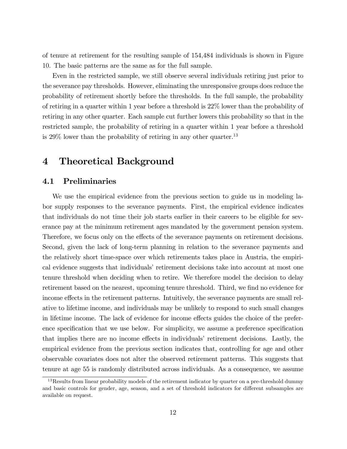of tenure at retirement for the resulting sample of 154,484 individuals is shown in Figure 10. The basic patterns are the same as for the full sample.

Even in the restricted sample, we still observe several individuals retiring just prior to the severance pay thresholds. However, eliminating the unresponsive groups does reduce the probability of retirement shortly before the thresholds. In the full sample, the probability of retiring in a quarter within 1 year before a threshold is 22% lower than the probability of retiring in any other quarter. Each sample cut further lowers this probability so that in the restricted sample, the probability of retiring in a quarter within 1 year before a threshold is  $29\%$  lower than the probability of retiring in any other quarter.<sup>13</sup>

# 4 Theoretical Background

## 4.1 Preliminaries

We use the empirical evidence from the previous section to guide us in modeling labor supply responses to the severance payments. First, the empirical evidence indicates that individuals do not time their job starts earlier in their careers to be eligible for severance pay at the minimum retirement ages mandated by the government pension system. Therefore, we focus only on the effects of the severance payments on retirement decisions. Second, given the lack of long-term planning in relation to the severance payments and the relatively short time-space over which retirements takes place in Austria, the empirical evidence suggests that individuals' retirement decisions take into account at most one tenure threshold when deciding when to retire. We therefore model the decision to delay retirement based on the nearest, upcoming tenure threshold. Third, we find no evidence for income effects in the retirement patterns. Intuitively, the severance payments are small relative to lifetime income, and individuals may be unlikely to respond to such small changes in lifetime income. The lack of evidence for income effects guides the choice of the preference specification that we use below. For simplicity, we assume a preference specification that implies there are no income effects in individuals' retirement decisions. Lastly, the empirical evidence from the previous section indicates that, controlling for age and other observable covariates does not alter the observed retirement patterns. This suggests that tenure at age 55 is randomly distributed across individuals. As a consequence, we assume

<sup>&</sup>lt;sup>13</sup>Results from linear probability models of the retirement indicator by quarter on a pre-threshold dummy and basic controls for gender, age, season, and a set of threshold indicators for different subsamples are available on request.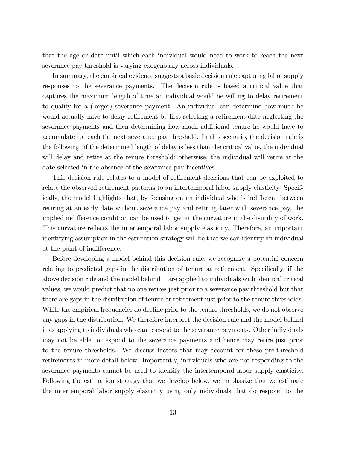that the age or date until which each individual would need to work to reach the next severance pay threshold is varying exogenously across individuals.

In summary, the empirical evidence suggests a basic decision rule capturing labor supply responses to the severance payments. The decision rule is based a critical value that captures the maximum length of time an individual would be willing to delay retirement to qualify for a (larger) severance payment. An individual can determine how much he would actually have to delay retirement by first selecting a retirement date neglecting the severance payments and then determining how much additional tenure he would have to accumulate to reach the next severance pay threshold. In this scenario, the decision rule is the following: if the determined length of delay is less than the critical value, the individual will delay and retire at the tenure threshold; otherwise, the individual will retire at the date selected in the absence of the severance pay incentives.

This decision rule relates to a model of retirement decisions that can be exploited to relate the observed retirement patterns to an intertemporal labor supply elasticity. Specifically, the model highlights that, by focusing on an individual who is indifferent between retiring at an early date without severance pay and retiring later with severance pay, the implied indifference condition can be used to get at the curvature in the disutility of work. This curvature reflects the intertemporal labor supply elasticity. Therefore, an important identifying assumption in the estimation strategy will be that we can identify an individual at the point of indifference.

Before developing a model behind this decision rule, we recognize a potential concern relating to predicted gaps in the distribution of tenure at retirement. Specifically, if the above decision rule and the model behind it are applied to individuals with identical critical values, we would predict that no one retires just prior to a severance pay threshold but that there are gaps in the distribution of tenure at retirement just prior to the tenure thresholds. While the empirical frequencies do decline prior to the tenure thresholds, we do not observe any gaps in the distribution. We therefore interpret the decision rule and the model behind it as applying to individuals who can respond to the severance payments. Other individuals may not be able to respond to the severance payments and hence may retire just prior to the tenure thresholds. We discuss factors that may account for these pre-threshold retirements in more detail below. Importantly, individuals who are not responding to the severance payments cannot be used to identify the intertemporal labor supply elasticity. Following the estimation strategy that we develop below, we emphasize that we estimate the intertemporal labor supply elasticity using only individuals that do respond to the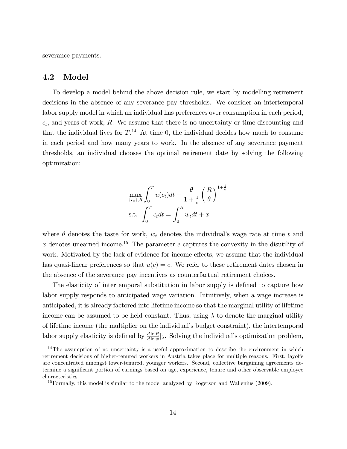severance payments.

### 4.2 Model

To develop a model behind the above decision rule, we start by modelling retirement decisions in the absence of any severance pay thresholds. We consider an intertemporal labor supply model in which an individual has preferences over consumption in each period,  $c_t$ , and years of work, R. We assume that there is no uncertainty or time discounting and that the individual lives for  $T^{14}$ . At time 0, the individual decides how much to consume in each period and how many years to work. In the absence of any severance payment thresholds, an individual chooses the optimal retirement date by solving the following optimization:

$$
\max_{\{c_t\},R} \int_0^T u(c_t)dt - \frac{\theta}{1 + \frac{1}{e}} \left(\frac{R}{\theta}\right)^{1 + \frac{1}{e}}
$$
  
s.t. 
$$
\int_0^T c_t dt = \int_0^R w_t dt + x
$$

where  $\theta$  denotes the taste for work,  $w_t$  denotes the individual's wage rate at time t and x denotes unearned income.<sup>15</sup> The parameter e captures the convexity in the disutility of work. Motivated by the lack of evidence for income effects, we assume that the individual has quasi-linear preferences so that  $u(c) = c$ . We refer to these retirement dates chosen in the absence of the severance pay incentives as counterfactual retirement choices.

The elasticity of intertemporal substitution in labor supply is defined to capture how labor supply responds to anticipated wage variation. Intuitively, when a wage increase is anticipated, it is already factored into lifetime income so that the marginal utility of lifetime income can be assumed to be held constant. Thus, using  $\lambda$  to denote the marginal utility of lifetime income (the multiplier on the individualís budget constraint), the intertemporal labor supply elasticity is defined by  $\frac{d \ln R}{d \ln w}|_{\lambda}$ . Solving the individual's optimization problem,

<sup>&</sup>lt;sup>14</sup>The assumption of no uncertainty is a useful approximation to describe the environment in which retirement decisions of higher-tenured workers in Austria takes place for multiple reasons. First, layoffs are concentrated amongst lower-tenured, younger workers. Second, collective bargaining agreements determine a significant portion of earnings based on age, experience, tenure and other observable employee characteristics.

<sup>&</sup>lt;sup>15</sup> Formally, this model is similar to the model analyzed by Rogerson and Wallenius (2009).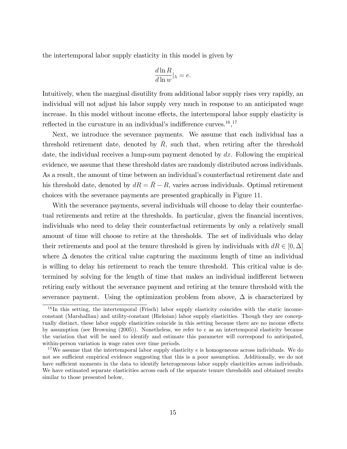the intertemporal labor supply elasticity in this model is given by

$$
\frac{d\ln R}{d\ln w}|_{\lambda} = e.
$$

Intuitively, when the marginal disutility from additional labor supply rises very rapidly, an individual will not adjust his labor supply very much in response to an anticipated wage increase. In this model without income effects, the intertemporal labor supply elasticity is reflected in the curvature in an individual's indifference curves.<sup>16</sup>,<sup>17</sup>

Next, we introduce the severance payments. We assume that each individual has a threshold retirement date, denoted by  $\bar{R}$ , such that, when retiring after the threshold date, the individual receives a lump-sum payment denoted by  $dx$ . Following the empirical evidence, we assume that these threshold dates are randomly distributed across individuals. As a result, the amount of time between an individual's counterfactual retirement date and his threshold date, denoted by  $dR = \overline{R} - R$ , varies across individuals. Optimal retirement choices with the severance payments are presented graphically in Figure 11.

With the severance payments, several individuals will choose to delay their counterfactual retirements and retire at the thresholds. In particular, given the Önancial incentives, individuals who need to delay their counterfactual retirements by only a relatively small amount of time will choose to retire at the thresholds. The set of individuals who delay their retirements and pool at the tenure threshold is given by individuals with  $dR \in [0, \Delta]$ where  $\Delta$  denotes the critical value capturing the maximum length of time an individual is willing to delay his retirement to reach the tenure threshold. This critical value is determined by solving for the length of time that makes an individual indifferent between retiring early without the severance payment and retiring at the tenure threshold with the severance payment. Using the optimization problem from above,  $\Delta$  is characterized by

<sup>&</sup>lt;sup>16</sup>In this setting, the intertemporal (Frisch) labor supply elasticity coincides with the static incomeconstant (Marshallian) and utility-constant (Hicksian) labor supply elasticities. Though they are conceptually distinct, these labor supply elasticities coincide in this setting because there are no income effects by assumption (see Browning (2005)). Nonetheless, we refer to e as an intertemporal elasticity because the variation that will be used to identify and estimate this parameter will correspond to anticipated, within-person variation in wage rates over time periods.

<sup>&</sup>lt;sup>17</sup>We assume that the intertemporal labor supply elasticity  $e$  is homogeneous across individuals. We do not see sufficient empirical evidence suggesting that this is a poor assumption. Additionally, we do not have sufficient moments in the data to identify heterogeneous labor supply elasticities across individuals. We have estimated separate elasticities across each of the separate tenure thresholds and obtained results similar to those presented below.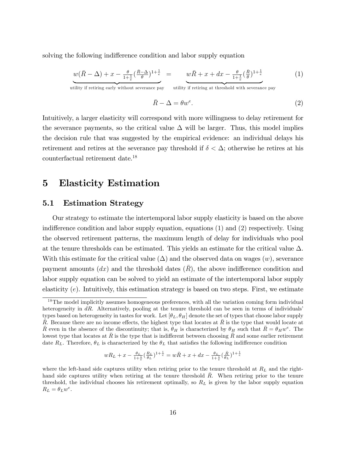solving the following indifference condition and labor supply equation

$$
\underbrace{w(\bar{R}-\Delta)+x-\frac{\theta}{1+\frac{1}{e}}(\frac{\bar{R}-\Delta}{\theta})^{1+\frac{1}{e}}}_{\text{max}} = \underbrace{w\bar{R}+x+dx-\frac{\theta}{1+\frac{1}{e}}(\frac{\bar{R}}{\theta})^{1+\frac{1}{e}}}_{\text{max}} \tag{1}
$$

utility if retiring early without severance pay utility if retiring at threshold with severance pay

$$
\bar{R} - \Delta = \theta w^e. \tag{2}
$$

Intuitively, a larger elasticity will correspond with more willingness to delay retirement for the severance payments, so the critical value  $\Delta$  will be larger. Thus, this model implies the decision rule that was suggested by the empirical evidence: an individual delays his retirement and retires at the severance pay threshold if  $\delta < \Delta$ ; otherwise he retires at his counterfactual retirement date.<sup>18</sup>

# 5 Elasticity Estimation

#### 5.1 Estimation Strategy

Our strategy to estimate the intertemporal labor supply elasticity is based on the above indifference condition and labor supply equation, equations  $(1)$  and  $(2)$  respectively. Using the observed retirement patterns, the maximum length of delay for individuals who pool at the tenure thresholds can be estimated. This yields an estimate for the critical value  $\Delta$ . With this estimate for the critical value  $(\Delta)$  and the observed data on wages  $(w)$ , severance payment amounts (dx) and the threshold dates  $(\overline{R})$ , the above indifference condition and labor supply equation can be solved to yield an estimate of the intertemporal labor supply elasticity  $(e)$ . Intuitively, this estimation strategy is based on two steps. First, we estimate

$$
wR_L + x - \frac{\theta_L}{1 + \frac{1}{e}} \left(\frac{R_L}{\theta_L}\right)^{1 + \frac{1}{e}} = w\bar{R} + x + dx - \frac{\theta_L}{1 + \frac{1}{e}} \left(\frac{\bar{R}}{\theta_L}\right)^{1 + \frac{1}{e}}
$$

<sup>&</sup>lt;sup>18</sup>The model implicitly assumes homogeneous preferences, with all the variation coming form individual heterogeneity in  $dR$ . Alternatively, pooling at the tenure threshold can be seen in terms of individuals<sup>7</sup> types based on heterogeneity in tastes for work. Let  $[\theta_L, \theta_H]$  denote the set of types that choose labor supply R. Because there are no income effects, the highest type that locates at  $R$  is the type that would locate at  $\bar{R}$  even in the absence of the discontinuity; that is,  $\hat{\theta}_H$  is characterized by  $\theta_H$  such that  $\bar{R} = \theta_H w^e$ . The lowest type that locates at  $\bar{R}$  is the type that is indifferent between choosing  $\bar{R}$  and some earlier retirement date  $R_L$ . Therefore,  $\theta_L$  is characterized by the  $\theta_L$  that satisfies the following indifference condition

where the left-hand side captures utility when retiring prior to the tenure threshold at  $R_L$  and the righthand side captures utility when retiring at the tenure threshold R. When retiring prior to the tenure threshold, the individual chooses his retirement optimally, so  $R_L$  is given by the labor supply equation  $R_L = \theta_L w^e$ .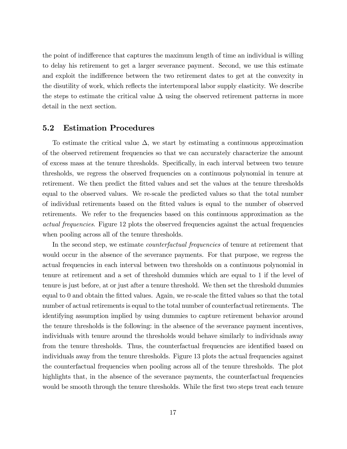the point of indifference that captures the maximum length of time an individual is willing to delay his retirement to get a larger severance payment. Second, we use this estimate and exploit the indifference between the two retirement dates to get at the convexity in the disutility of work, which reflects the intertemporal labor supply elasticity. We describe the steps to estimate the critical value  $\Delta$  using the observed retirement patterns in more detail in the next section.

#### 5.2 Estimation Procedures

To estimate the critical value  $\Delta$ , we start by estimating a continuous approximation of the observed retirement frequencies so that we can accurately characterize the amount of excess mass at the tenure thresholds. Specifically, in each interval between two tenure thresholds, we regress the observed frequencies on a continuous polynomial in tenure at retirement. We then predict the fitted values and set the values at the tenure thresholds equal to the observed values. We re-scale the predicted values so that the total number of individual retirements based on the Ötted values is equal to the number of observed retirements. We refer to the frequencies based on this continuous approximation as the actual frequencies. Figure 12 plots the observed frequencies against the actual frequencies when pooling across all of the tenure thresholds.

In the second step, we estimate *counterfactual frequencies* of tenure at retirement that would occur in the absence of the severance payments. For that purpose, we regress the actual frequencies in each interval between two thresholds on a continuous polynomial in tenure at retirement and a set of threshold dummies which are equal to 1 if the level of tenure is just before, at or just after a tenure threshold. We then set the threshold dummies equal to 0 and obtain the Ötted values. Again, we re-scale the Ötted values so that the total number of actual retirements is equal to the total number of counterfactual retirements. The identifying assumption implied by using dummies to capture retirement behavior around the tenure thresholds is the following: in the absence of the severance payment incentives, individuals with tenure around the thresholds would behave similarly to individuals away from the tenure thresholds. Thus, the counterfactual frequencies are identified based on individuals away from the tenure thresholds. Figure 13 plots the actual frequencies against the counterfactual frequencies when pooling across all of the tenure thresholds. The plot highlights that, in the absence of the severance payments, the counterfactual frequencies would be smooth through the tenure thresholds. While the first two steps treat each tenure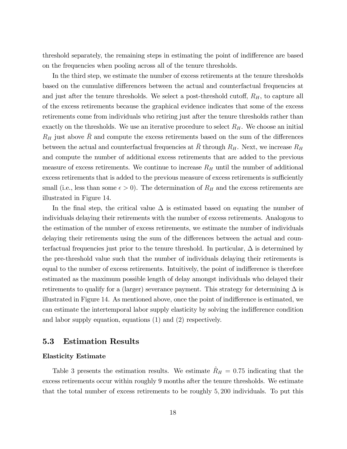threshold separately, the remaining steps in estimating the point of indifference are based on the frequencies when pooling across all of the tenure thresholds.

In the third step, we estimate the number of excess retirements at the tenure thresholds based on the cumulative differences between the actual and counterfactual frequencies at and just after the tenure thresholds. We select a post-threshold cutoff,  $R_H$ , to capture all of the excess retirements because the graphical evidence indicates that some of the excess retirements come from individuals who retiring just after the tenure thresholds rather than exactly on the thresholds. We use an iterative procedure to select  $R_H$ . We choose an initial  $R_H$  just above  $\bar{R}$  and compute the excess retirements based on the sum of the differences between the actual and counterfactual frequencies at R through  $R_H$ . Next, we increase  $R_H$ and compute the number of additional excess retirements that are added to the previous measure of excess retirements. We continue to increase  $R_H$  until the number of additional excess retirements that is added to the previous measure of excess retirements is sufficiently small (i.e., less than some  $\epsilon > 0$ ). The determination of  $R_H$  and the excess retirements are illustrated in Figure 14.

In the final step, the critical value  $\Delta$  is estimated based on equating the number of individuals delaying their retirements with the number of excess retirements. Analogous to the estimation of the number of excess retirements, we estimate the number of individuals delaying their retirements using the sum of the differences between the actual and counterfactual frequencies just prior to the tenure threshold. In particular,  $\Delta$  is determined by the pre-threshold value such that the number of individuals delaying their retirements is equal to the number of excess retirements. Intuitively, the point of indifference is therefore estimated as the maximum possible length of delay amongst individuals who delayed their retirements to qualify for a (larger) severance payment. This strategy for determining  $\Delta$  is illustrated in Figure 14. As mentioned above, once the point of indifference is estimated, we can estimate the intertemporal labor supply elasticity by solving the indifference condition and labor supply equation, equations (1) and (2) respectively.

#### 5.3 Estimation Results

#### Elasticity Estimate

Table 3 presents the estimation results. We estimate  $R_H = 0.75$  indicating that the excess retirements occur within roughly 9 months after the tenure thresholds. We estimate that the total number of excess retirements to be roughly 5; 200 individuals. To put this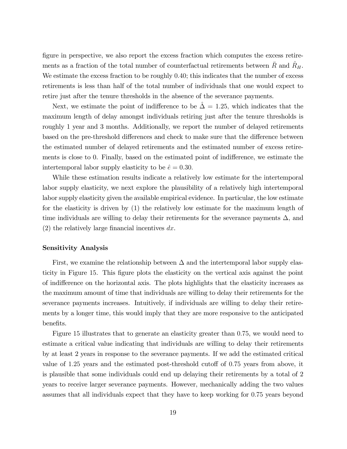figure in perspective, we also report the excess fraction which computes the excess retirements as a fraction of the total number of counterfactual retirements between  $\bar{R}$  and  $\hat{R}_{H}$ . We estimate the excess fraction to be roughly 0.40; this indicates that the number of excess retirements is less than half of the total number of individuals that one would expect to retire just after the tenure thresholds in the absence of the severance payments.

Next, we estimate the point of indifference to be  $\Delta = 1.25$ , which indicates that the maximum length of delay amongst individuals retiring just after the tenure thresholds is roughly 1 year and 3 months. Additionally, we report the number of delayed retirements based on the pre-threshold differences and check to make sure that the difference between the estimated number of delayed retirements and the estimated number of excess retirements is close to 0. Finally, based on the estimated point of indifference, we estimate the intertemporal labor supply elasticity to be  $\hat{e} = 0.30$ .

While these estimation results indicate a relatively low estimate for the intertemporal labor supply elasticity, we next explore the plausibility of a relatively high intertemporal labor supply elasticity given the available empirical evidence. In particular, the low estimate for the elasticity is driven by (1) the relatively low estimate for the maximum length of time individuals are willing to delay their retirements for the severance payments  $\Delta$ , and  $(2)$  the relatively large financial incentives dx.

#### Sensitivity Analysis

First, we examine the relationship between  $\Delta$  and the intertemporal labor supply elasticity in Figure 15. This Ögure plots the elasticity on the vertical axis against the point of indifference on the horizontal axis. The plots highlights that the elasticity increases as the maximum amount of time that individuals are willing to delay their retirements for the severance payments increases. Intuitively, if individuals are willing to delay their retirements by a longer time, this would imply that they are more responsive to the anticipated benefits.

Figure 15 illustrates that to generate an elasticity greater than 0:75, we would need to estimate a critical value indicating that individuals are willing to delay their retirements by at least 2 years in response to the severance payments. If we add the estimated critical value of  $1.25$  years and the estimated post-threshold cutoff of  $0.75$  years from above, it is plausible that some individuals could end up delaying their retirements by a total of 2 years to receive larger severance payments. However, mechanically adding the two values assumes that all individuals expect that they have to keep working for 0:75 years beyond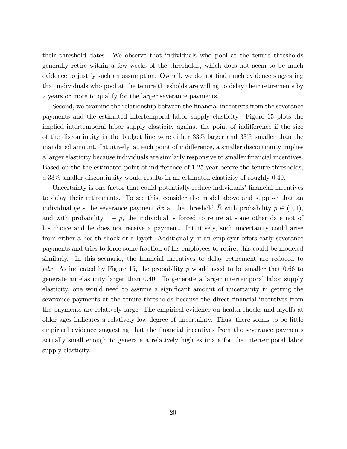their threshold dates. We observe that individuals who pool at the tenure thresholds generally retire within a few weeks of the thresholds, which does not seem to be much evidence to justify such an assumption. Overall, we do not find much evidence suggesting that individuals who pool at the tenure thresholds are willing to delay their retirements by 2 years or more to qualify for the larger severance payments.

Second, we examine the relationship between the financial incentives from the severance payments and the estimated intertemporal labor supply elasticity. Figure 15 plots the implied intertemporal labor supply elasticity against the point of indifference if the size of the discontinuity in the budget line were either 33% larger and 33% smaller than the mandated amount. Intuitively, at each point of indifference, a smaller discontinuity implies a larger elasticity because individuals are similarly responsive to smaller financial incentives. Based on the the estimated point of indifference of 1.25 year before the tenure thresholds, a 33% smaller discontinuity would results in an estimated elasticity of roughly 0:40.

Uncertainty is one factor that could potentially reduce individuals' financial incentives to delay their retirements. To see this, consider the model above and suppose that an individual gets the severance payment dx at the threshold R with probability  $p \in (0,1)$ , and with probability  $1 - p$ , the individual is forced to retire at some other date not of his choice and he does not receive a payment. Intuitively, such uncertainty could arise from either a health shock or a layoff. Additionally, if an employer offers early severance payments and tries to force some fraction of his employees to retire, this could be modeled similarly. In this scenario, the financial incentives to delay retirement are reduced to pdx. As indicated by Figure 15, the probability p would need to be smaller that 0.66 to generate an elasticity larger than 0:40. To generate a larger intertemporal labor supply elasticity, one would need to assume a significant amount of uncertainty in getting the severance payments at the tenure thresholds because the direct Önancial incentives from the payments are relatively large. The empirical evidence on health shocks and layoffs at older ages indicates a relatively low degree of uncertainty. Thus, there seems to be little empirical evidence suggesting that the financial incentives from the severance payments actually small enough to generate a relatively high estimate for the intertemporal labor supply elasticity.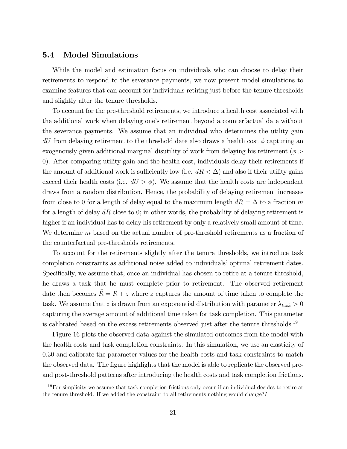### 5.4 Model Simulations

While the model and estimation focus on individuals who can choose to delay their retirements to respond to the severance payments, we now present model simulations to examine features that can account for individuals retiring just before the tenure thresholds and slightly after the tenure thresholds.

To account for the pre-threshold retirements, we introduce a health cost associated with the additional work when delaying one's retirement beyond a counterfactual date without the severance payments. We assume that an individual who determines the utility gain  $dU$  from delaying retirement to the threshold date also draws a health cost  $\phi$  capturing an exogenously given additional marginal disutility of work from delaying his retirement ( $\phi$ ) 0). After comparing utility gain and the health cost, individuals delay their retirements if the amount of additional work is sufficiently low (i.e.  $dR < \Delta$ ) and also if their utility gains exceed their health costs (i.e.  $dU > \phi$ ). We assume that the health costs are independent draws from a random distribution. Hence, the probability of delaying retirement increases from close to 0 for a length of delay equal to the maximum length  $dR = \Delta$  to a fraction m for a length of delay  $dR$  close to 0; in other words, the probability of delaying retirement is higher if an individual has to delay his retirement by only a relatively small amount of time. We determine  $m$  based on the actual number of pre-threshold retirements as a fraction of the counterfactual pre-thresholds retirements.

To account for the retirements slightly after the tenure thresholds, we introduce task completion constraints as additional noise added to individuals' optimal retirement dates. Specifically, we assume that, once an individual has chosen to retire at a tenure threshold, he draws a task that he must complete prior to retirement. The observed retirement date then becomes  $\tilde{R} = \bar{R} + z$  where z captures the amount of time taken to complete the task. We assume that z is drawn from an exponential distribution with parameter  $\lambda_{task} > 0$ capturing the average amount of additional time taken for task completion. This parameter is calibrated based on the excess retirements observed just after the tenure thresholds.<sup>19</sup>

Figure 16 plots the observed data against the simulated outcomes from the model with the health costs and task completion constraints. In this simulation, we use an elasticity of 0:30 and calibrate the parameter values for the health costs and task constraints to match the observed data. The figure highlights that the model is able to replicate the observed preand post-threshold patterns after introducing the health costs and task completion frictions.

 $19$ For simplicity we assume that task completion frictions only occur if an individual decides to retire at the tenure threshold. If we added the constraint to all retirements nothing would change??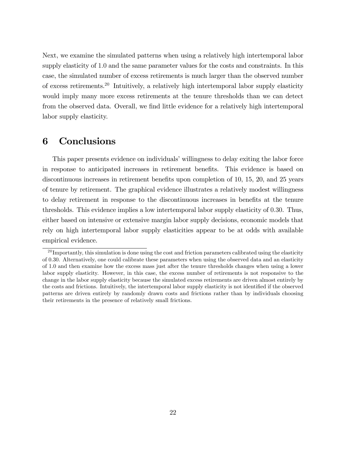Next, we examine the simulated patterns when using a relatively high intertemporal labor supply elasticity of 1.0 and the same parameter values for the costs and constraints. In this case, the simulated number of excess retirements is much larger than the observed number of excess retirements.<sup>20</sup> Intuitively, a relatively high intertemporal labor supply elasticity would imply many more excess retirements at the tenure thresholds than we can detect from the observed data. Overall, we find little evidence for a relatively high intertemporal labor supply elasticity.

# 6 Conclusions

This paper presents evidence on individuals' willingness to delay exiting the labor force in response to anticipated increases in retirement benefits. This evidence is based on discontinuous increases in retirement benefits upon completion of  $10, 15, 20,$  and  $25$  years of tenure by retirement. The graphical evidence illustrates a relatively modest willingness to delay retirement in response to the discontinuous increases in benefits at the tenure thresholds. This evidence implies a low intertemporal labor supply elasticity of 0:30. Thus, either based on intensive or extensive margin labor supply decisions, economic models that rely on high intertemporal labor supply elasticities appear to be at odds with available empirical evidence.

 $^{20}$  Importantly, this simulation is done using the cost and friction parameters calibrated using the elasticity of 0:30. Alternatively, one could calibrate these parameters when using the observed data and an elasticity of 1:0 and then examine how the excess mass just after the tenure thresholds changes when using a lower labor supply elasticity. However, in this case, the excess number of retirements is not responsive to the change in the labor supply elasticity because the simulated excess retirements are driven almost entirely by the costs and frictions. Intuitively, the intertemporal labor supply elasticity is not identified if the observed patterns are driven entirely by randomly drawn costs and frictions rather than by individuals choosing their retirements in the presence of relatively small frictions.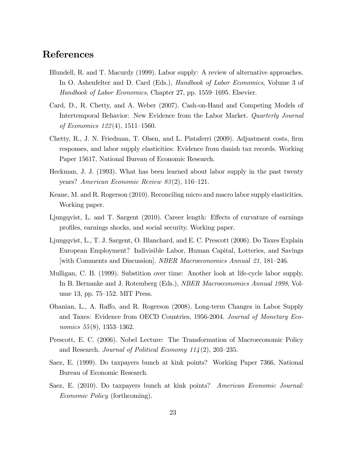# References

- Blundell, R. and T. Macurdy (1999). Labor supply: A review of alternative approaches. In O. Ashenfelter and D. Card (Eds.), *Handbook of Labor Economics*, Volume 3 of Handbook of Labor Economics, Chapter 27, pp. 1559–1695. Elsevier.
- Card, D., R. Chetty, and A. Weber (2007). Cash-on-Hand and Competing Models of Intertemporal Behavior: New Evidence from the Labor Market. Quarterly Journal of Economics  $122(4)$ , 1511–1560.
- Chetty, R., J. N. Friedman, T. Olsen, and L. Pistaferri (2009). Adjustment costs, firm responses, and labor supply elasticities: Evidence from danish tax records. Working Paper 15617, National Bureau of Economic Research.
- Heckman, J. J. (1993). What has been learned about labor supply in the past twenty years? American Economic Review  $83(2)$ , 116-121.
- Keane, M. and R. Rogerson (2010). Reconciling micro and macro labor supply elasticities. Working paper.
- Ljungqvist, L. and T. Sargent (2010). Career length: Effects of curvature of earnings profiles, earnings shocks, and social security. Working paper.
- Ljungqvist, L., T. J. Sargent, O. Blanchard, and E. C. Prescott (2006). Do Taxes Explain European Employment? Indivisible Labor, Human Capital, Lotteries, and Savings [with Comments and Discussion]. *NBER Macroeconomics Annual 21*, 181–246.
- Mulligan, C. B. (1999). Substition over time: Another look at life-cycle labor supply. In B. Bernanke and J. Rotemberg (Eds.), NBER Macroeconomics Annual 1998, Volume 13, pp.  $75-152$ . MIT Press.
- Ohanian, L., A. Raffo, and R. Rogerson (2008). Long-term Changes in Labor Supply and Taxes: Evidence from OECD Countries, 1956-2004. Journal of Monetary Economics  $55(8)$ , 1353–1362.
- Prescott, E. C. (2006). Nobel Lecture: The Transformation of Macroeconomic Policy and Research. Journal of Political Economy  $114(2)$ , 203-235.
- Saez, E. (1999). Do taxpayers bunch at kink points? Working Paper 7366, National Bureau of Economic Research.
- Saez, E. (2010). Do taxpayers bunch at kink points? American Economic Journal: Economic Policy (forthcoming).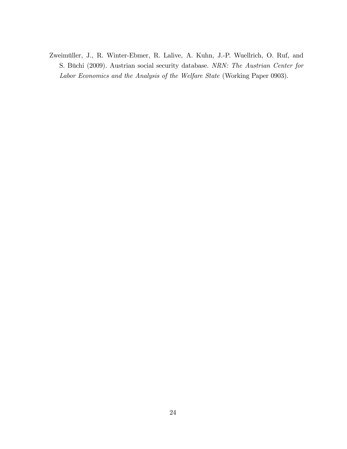Zweimüller, J., R. Winter-Ebmer, R. Lalive, A. Kuhn, J.-P. Wuellrich, O. Ruf, and S. Büchi (2009). Austrian social security database. NRN: The Austrian Center for Labor Economics and the Analysis of the Welfare State (Working Paper 0903).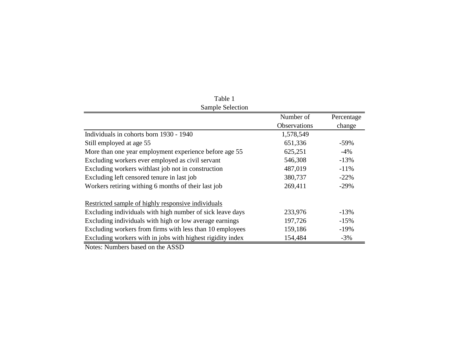| <b>Sample Selection</b>                                    |              |            |  |  |  |
|------------------------------------------------------------|--------------|------------|--|--|--|
|                                                            | Number of    | Percentage |  |  |  |
|                                                            | Observations | change     |  |  |  |
| Individuals in cohorts born 1930 - 1940                    | 1,578,549    |            |  |  |  |
| Still employed at age 55                                   | 651,336      | $-59\%$    |  |  |  |
| More than one year employment experience before age 55     | 625,251      | $-4%$      |  |  |  |
| Excluding workers ever employed as civil servant           | 546,308      | $-13%$     |  |  |  |
| Excluding workers with last job not in construction        | 487,019      | $-11%$     |  |  |  |
| Excluding left censored tenure in last job                 | 380,737      | $-22%$     |  |  |  |
| Workers retiring withing 6 months of their last job        | 269,411      | $-29%$     |  |  |  |
| Restricted sample of highly responsive individuals         |              |            |  |  |  |
| Excluding individuals with high number of sick leave days  | 233,976      | $-13%$     |  |  |  |
| Excluding individuals with high or low average earnings    | 197,726      | $-15%$     |  |  |  |
| Excluding workers from firms with less than 10 employees   | $-19%$       |            |  |  |  |
| Excluding workers with in jobs with highest rigidity index | 154,484      | $-3%$      |  |  |  |

Table 1

Notes: Numbers based on the ASSD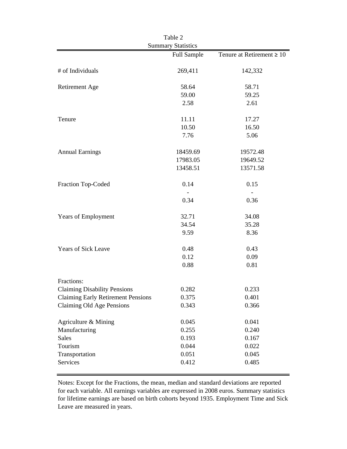| Table 2                                   |             |                                |  |  |  |  |
|-------------------------------------------|-------------|--------------------------------|--|--|--|--|
| <b>Summary Statistics</b>                 |             |                                |  |  |  |  |
|                                           | Full Sample | Tenure at Retirement $\geq 10$ |  |  |  |  |
| # of Individuals                          | 269,411     | 142,332                        |  |  |  |  |
| Retirement Age                            | 58.64       | 58.71                          |  |  |  |  |
|                                           | 59.00       | 59.25                          |  |  |  |  |
|                                           | 2.58        | 2.61                           |  |  |  |  |
| Tenure                                    | 11.11       | 17.27                          |  |  |  |  |
|                                           | 10.50       | 16.50                          |  |  |  |  |
|                                           | 7.76        | 5.06                           |  |  |  |  |
| <b>Annual Earnings</b>                    | 18459.69    | 19572.48                       |  |  |  |  |
|                                           | 17983.05    | 19649.52                       |  |  |  |  |
|                                           | 13458.51    | 13571.58                       |  |  |  |  |
| Fraction Top-Coded                        | 0.14        | 0.15                           |  |  |  |  |
|                                           |             |                                |  |  |  |  |
|                                           | 0.34        | 0.36                           |  |  |  |  |
| <b>Years of Employment</b>                | 32.71       | 34.08                          |  |  |  |  |
|                                           | 34.54       | 35.28                          |  |  |  |  |
|                                           | 9.59        | 8.36                           |  |  |  |  |
| Years of Sick Leave                       | 0.48        | 0.43                           |  |  |  |  |
|                                           | 0.12        | 0.09                           |  |  |  |  |
|                                           | 0.88        | 0.81                           |  |  |  |  |
| Fractions:                                |             |                                |  |  |  |  |
| <b>Claiming Disability Pensions</b>       | 0.282       | 0.233                          |  |  |  |  |
| <b>Claiming Early Retirement Pensions</b> | 0.375       | 0.401                          |  |  |  |  |
| Claiming Old Age Pensions                 | 0.343       | 0.366                          |  |  |  |  |
| Agriculture & Mining                      | 0.045       | 0.041                          |  |  |  |  |
| Manufacturing                             | 0.255       | 0.240                          |  |  |  |  |
| <b>Sales</b>                              | 0.193       | 0.167                          |  |  |  |  |
| Tourism                                   | 0.044       | 0.022                          |  |  |  |  |
| Transportation                            | 0.051       | 0.045                          |  |  |  |  |
| Services                                  | 0.412       | 0.485                          |  |  |  |  |

Notes: Except for the Fractions, the mean, median and standard deviations are reported for each variable. All earnings variables are expressed in 2008 euros. Summary statistics for lifetime earnings are based on birth cohorts beyond 1935. Employment Time and Sick Leave are measured in years.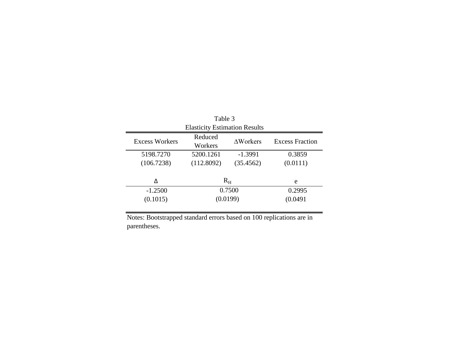| Table 3 |                                      |                    |                  |                        |  |  |  |
|---------|--------------------------------------|--------------------|------------------|------------------------|--|--|--|
|         | <b>Elasticity Estimation Results</b> |                    |                  |                        |  |  |  |
|         | <b>Excess Workers</b>                | Reduced<br>Workers | $\Delta$ Workers | <b>Excess Fraction</b> |  |  |  |
|         | 5198.7270                            | 5200.1261          | $-1.3991$        | 0.3859                 |  |  |  |
|         | (106.7238)                           | (112.8092)         | (35.4562)        | (0.0111)               |  |  |  |
|         |                                      |                    |                  |                        |  |  |  |
|         | Λ                                    | $R_{\rm H}$        |                  | e                      |  |  |  |
|         | $-1.2500$                            | 0.7500             |                  | 0.2995                 |  |  |  |
|         | (0.1015)                             | (0.0199)           |                  | (0.0491)               |  |  |  |
|         |                                      |                    |                  |                        |  |  |  |

Notes: Bootstrapped standard errors based on 100 replications are in parentheses.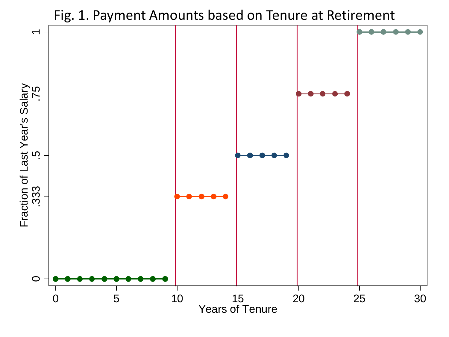# Fig. 1. Payment Amounts based on Tenure at Retirement

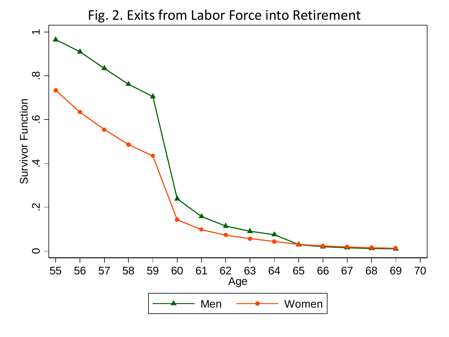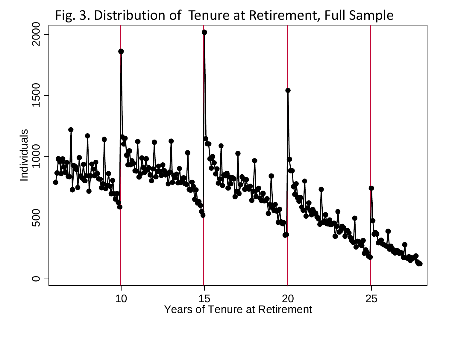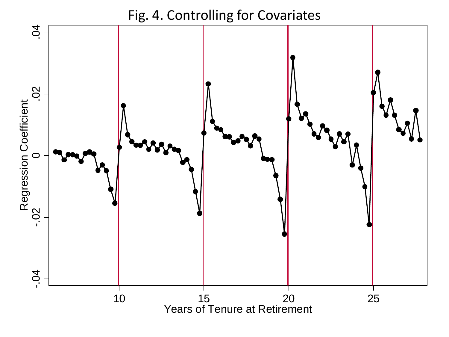Fig. 4. Controlling for Covariates

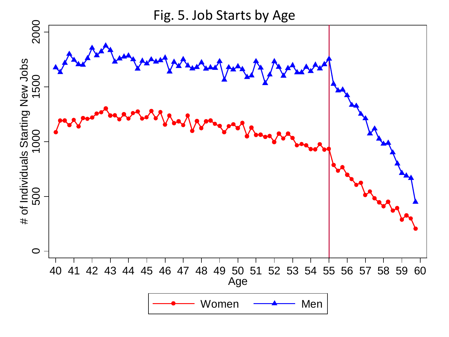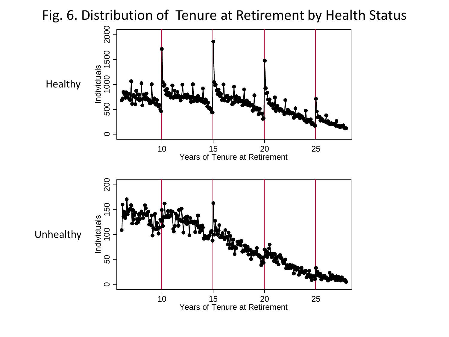Fig. 6. Distribution of Tenure at Retirement by Health Status

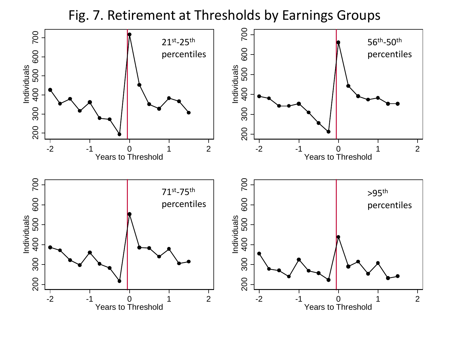Fig. 7. Retirement at Thresholds by Earnings Groups

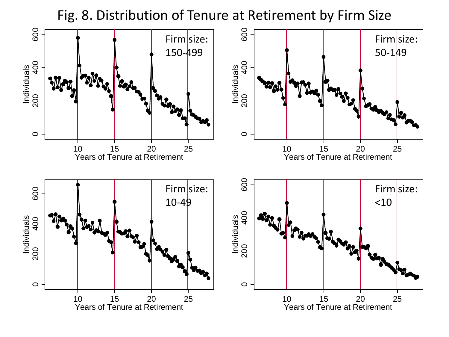Fig. 8. Distribution of Tenure at Retirement by Firm Size

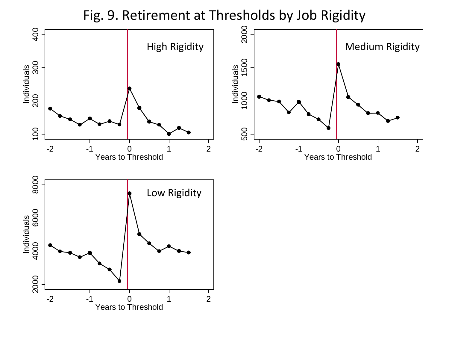Fig. 9. Retirement at Thresholds by Job Rigidity

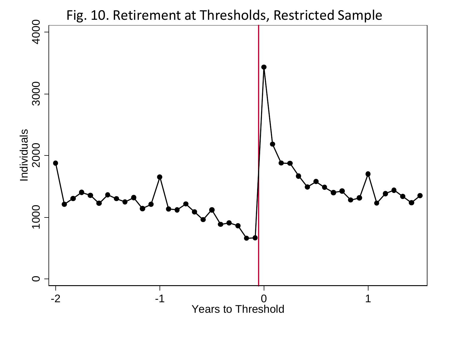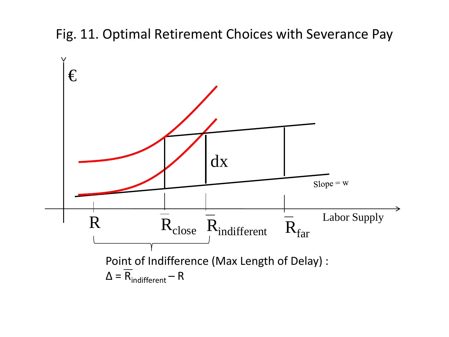Fig. 11. Optimal Retirement Choices with Severance Pay

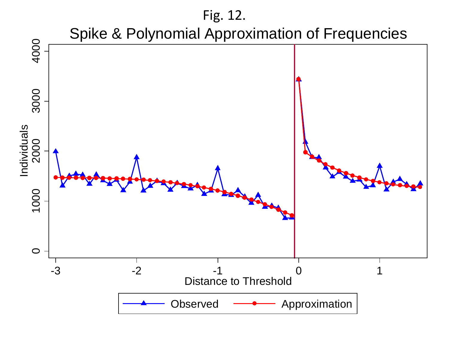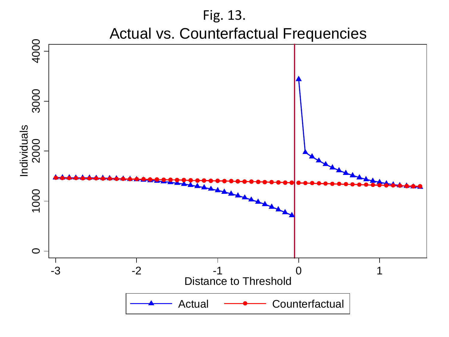# Actual vs. Counterfactual Frequencies Fig. 13.

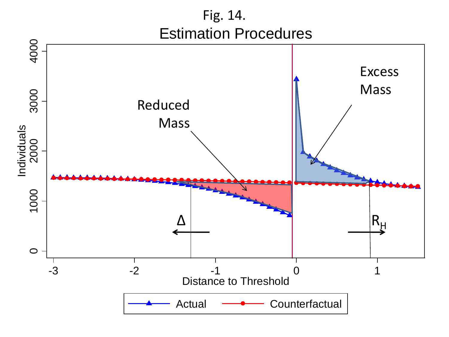Estimation Procedures Fig. 14.

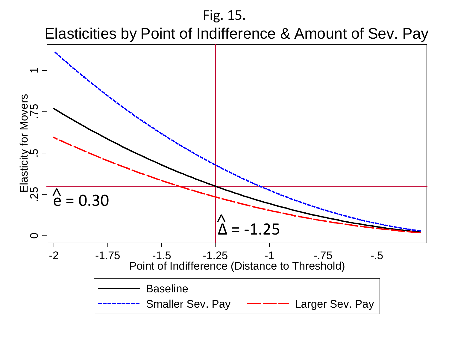# Fig. 15.

Elasticities by Point of Indifference & Amount of Sev. Pay